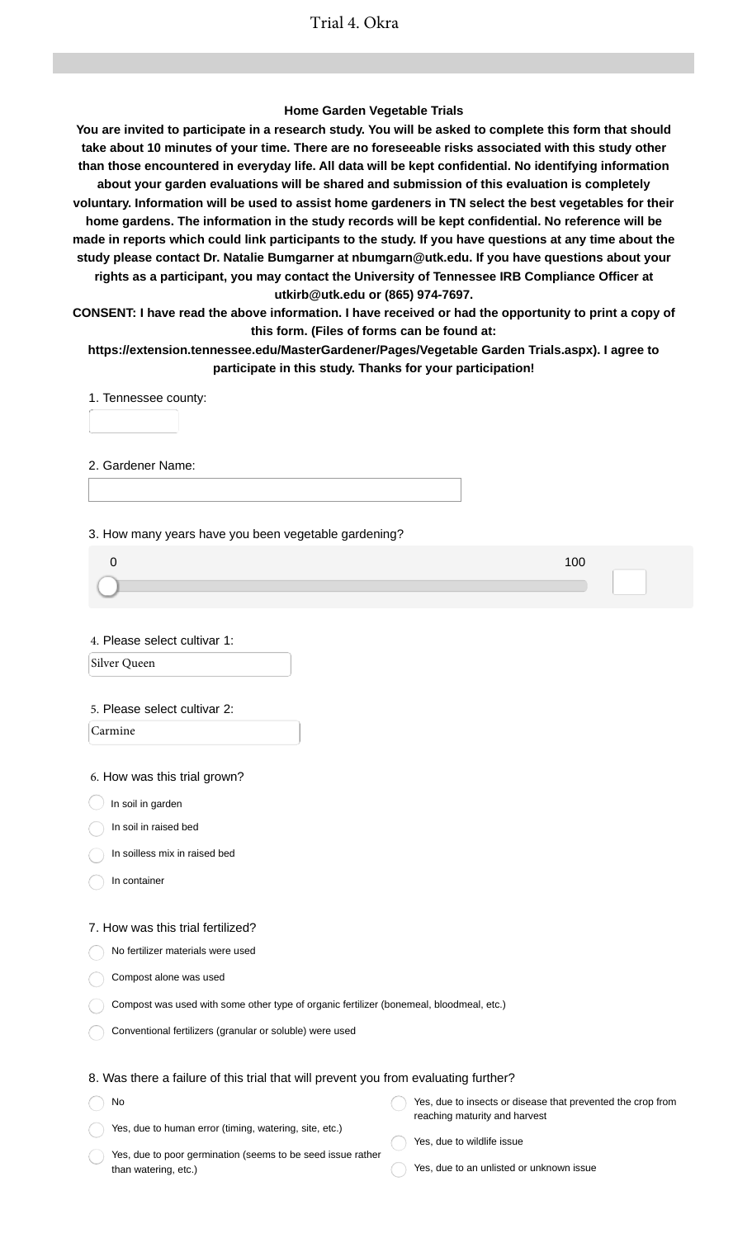### **Home Garden Vegetable Trials**

**You are invited to participate in a research study. You will be asked to complete this form that should take about 10 minutes of your time. There are no foreseeable risks associated with this study other than those encountered in everyday life. All data will be kept confidential. No identifying information about your garden evaluations will be shared and submission of this evaluation is completely voluntary. Information will be used to assist home gardeners in TN select the best vegetables for their home gardens. The information in the study records will be kept confidential. No reference will be made in reports which could link participants to the study. If you have questions at any time about the study please contact Dr. Natalie Bumgarner at nbumgarn@utk.edu. If you have questions about your rights as a participant, you may contact the University of Tennessee IRB Compliance Officer at utkirb@utk.edu or (865) 974-7697.**

**CONSENT: I have read the above information. I have received or had the opportunity to print a copy of this form. (Files of forms can be found at:**

**https://extension.tennessee.edu/MasterGardener/Pages/Vegetable Garden Trials.aspx). I agree to participate in this study. Thanks for your participation!**

1. Tennessee county:

2. Gardener Name:

3. How many years have you been vegetable gardening?

4. Please select cultivar 1:

Silver Queen

#### 5. Please select cultivar 2:

Carmine

6. How was this trial grown?

 $\bigcup$  In soil in garden

In soil in raised bed

In soilless mix in raised bed

In container

#### 7. How was this trial fertilized?

No fertilizer materials were used

Compost alone was used

| Compost was used with some other type of organic fertilizer (bonemeal, bloodmeal, etc.) |  |  |
|-----------------------------------------------------------------------------------------|--|--|
|                                                                                         |  |  |

Conventional fertilizers (granular or soluble) were used

### 8. Was there a failure of this trial that will prevent you from evaluating further?

No Yes, due to human error (timing, watering, site, etc.) Yes, due to insects or disease that prevented the crop from reaching maturity and harvest Yes, due to wildlife issue

Yes, due to poor germination (seems to be seed issue rather than watering, etc.)

- 
- Yes, due to an unlisted or unknown issue